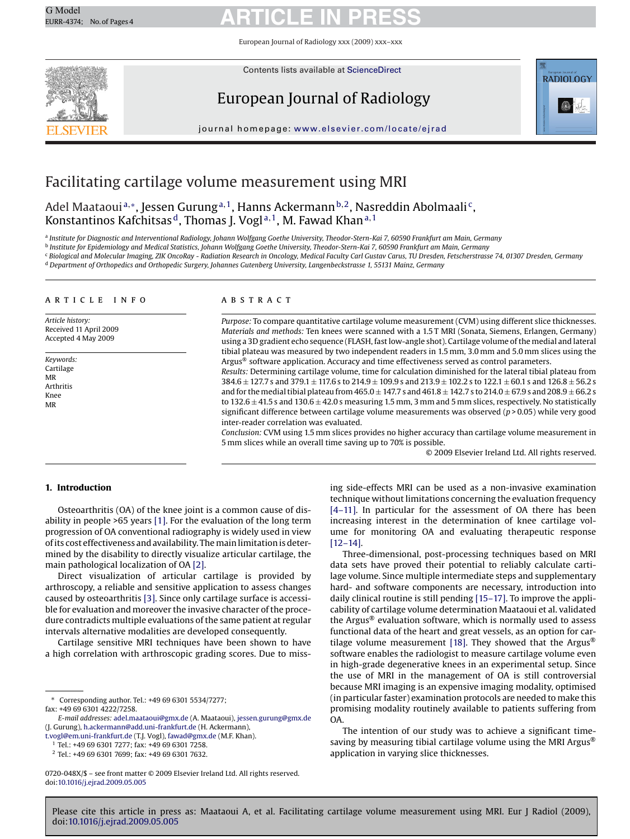# G Model G Model **ARTICLE IN PRESS**

European Journal of Radiology xxx (2009) xxx–xxx



Contents lists available at [ScienceDirect](http://www.sciencedirect.com/science/journal/0720048X)

# European Journal of Radiology



journal homepage: [www.elsevier.com/locate/ejrad](http://www.elsevier.com/locate/ejrad)

# Facilitating cartilage volume measurement using MRI

Adel Maataoui<sup>a,∗</sup>, Jessen Gurung<sup>a, 1</sup>, Hanns Ackermann<sup>b, 2</sup>, Nasreddin Abolmaali<sup>c</sup>, Konstantinos Kafchitsas<sup>d</sup>, Thomas J. Vogl<sup>a, 1</sup>, M. Fawad Khan<sup>a, 1</sup>

<sup>a</sup> *Institute for Diagnostic and Interventional Radiology, Johann Wolfgang Goethe University, Theodor-Stern-Kai 7, 60590 Frankfurt am Main, Germany*

<sup>b</sup> *Institute for Epidemiology and Medical Statistics, Johann Wolfgang Goethe University, Theodor-Stern-Kai 7, 60590 Frankfurt am Main, Germany*

<sup>c</sup> *Biological and Molecular Imaging, ZIK OncoRay - Radiation Research in Oncology, Medical Faculty Carl Gustav Carus, TU Dresden, Fetscherstrasse 74, 01307 Dresden, Germany* <sup>d</sup> *Department of Orthopedics and Orthopedic Surgery, Johannes Gutenberg University, Langenbeckstrasse 1, 55131 Mainz, Germany*

#### article info

*Article history:* Received 11 April 2009 Accepted 4 May 2009

*Keywords:* Cartilage MR Arthritis Knee MR

#### ABSTRACT

*Purpose:* To compare quantitative cartilage volume measurement (CVM) using different slice thicknesses. *Materials and methods:* Ten knees were scanned with a 1.5 T MRI (Sonata, Siemens, Erlangen, Germany) using a 3D gradient echo sequence (FLASH, fast low-angle shot). Cartilage volume of the medial and lateral tibial plateau was measured by two independent readers in 1.5 mm, 3.0 mm and 5.0 mm slices using the Argus® software application. Accuracy and time effectiveness served as control parameters.

*Results:* Determining cartilage volume, time for calculation diminished for the lateral tibial plateau from  $384.6 \pm 127.7$  s and  $379.1 \pm 117.6$  s to  $214.9 \pm 109.9$  s and  $213.9 \pm 102.2$  s to  $122.1 \pm 60.1$  s and  $126.8 \pm 56.2$  s and for the medial tibial plateau from 465.0  $\pm$  147.7 s and 461.8  $\pm$  142.7 s to 214.0  $\pm$  67.9 s and 208.9  $\pm$  66.2 s to  $132.6 \pm 41.5$  s and  $130.6 \pm 42.0$  s measuring 1.5 mm, 3 mm and 5 mm slices, respectively. No statistically significant difference between cartilage volume measurements was observed (*p* > 0.05) while very good inter-reader correlation was evaluated.

*Conclusion:* CVM using 1.5 mm slices provides no higher accuracy than cartilage volume measurement in 5 mm slices while an overall time saving up to 70% is possible.

© 2009 Elsevier Ireland Ltd. All rights reserved.

# **1. Introduction**

Osteoarthritis (OA) of the knee joint is a common cause of disability in people >65 years [\[1\]. F](#page-3-0)or the evaluation of the long term progression of OA conventional radiography is widely used in view of its cost effectiveness and availability. Themain limitation is determined by the disability to directly visualize articular cartilage, the main pathological localization of OA [\[2\].](#page-3-0)

Direct visualization of articular cartilage is provided by arthroscopy, a reliable and sensitive application to assess changes caused by osteoarthritis [\[3\]. S](#page-3-0)ince only cartilage surface is accessible for evaluation and moreover the invasive character of the procedure contradicts multiple evaluations of the same patient at regular intervals alternative modalities are developed consequently.

Cartilage sensitive MRI techniques have been shown to have a high correlation with arthroscopic grading scores. Due to miss-

[t.vogl@em.uni-frankfurt.de](mailto:t.vogl@em.uni-frankfurt.de) (T.J. Vogl), [fawad@gmx.de](mailto:fawad@gmx.de) (M.F. Khan).

<sup>1</sup> Tel.: +49 69 6301 7277; fax: +49 69 6301 7258.

ing side-effects MRI can be used as a non-invasive examination technique without limitations concerning the evaluation frequency [\[4–11\].](#page-3-0) In particular for the assessment of OA there has been increasing interest in the determination of knee cartilage volume for monitoring OA and evaluating therapeutic response [\[12–14\].](#page-3-0)

Three-dimensional, post-processing techniques based on MRI data sets have proved their potential to reliably calculate cartilage volume. Since multiple intermediate steps and supplementary hard- and software components are necessary, introduction into daily clinical routine is still pending [\[15–17\]. T](#page-3-0)o improve the applicability of cartilage volume determination Maataoui et al. validated the Argus® evaluation software, which is normally used to assess functional data of the heart and great vessels, as an option for car-tilage volume measurement [\[18\].](#page-3-0) They showed that the Argus<sup>®</sup> software enables the radiologist to measure cartilage volume even in high-grade degenerative knees in an experimental setup. Since the use of MRI in the management of OA is still controversial because MRI imaging is an expensive imaging modality, optimised (in particular faster) examination protocols are needed to make this promising modality routinely available to patients suffering from OA.

The intention of our study was to achieve a significant timesaving by measuring tibial cartilage volume using the MRI Argus<sup>®</sup> application in varying slice thicknesses.

Please cite this article in press as: Maataoui A, et al. Facilitating cartilage volume measurement using MRI. Eur J Radiol (2009), doi[:10.1016/j.ejrad.2009.05.005](dx.doi.org/10.1016/j.ejrad.2009.05.005)

<sup>∗</sup> Corresponding author. Tel.: +49 69 6301 5534/7277; fax: +49 69 6301 4222/7258.

*E-mail addresses:* [adel.maataoui@gmx.de](mailto:adel.maataoui@gmx.de) (A. Maataoui), [jessen.gurung@gmx.de](mailto:jessen.gurung@gmx.de) (J. Gurung), [h.ackermann@add.uni-frankfurt.de](mailto:h.ackermann@add.uni-frankfurt.de) (H. Ackermann),

<sup>2</sup> Tel.: +49 69 6301 7699; fax: +49 69 6301 7632.

<sup>0720-048</sup>X/\$ – see front matter © 2009 Elsevier Ireland Ltd. All rights reserved. doi:[10.1016/j.ejrad.2009.05.005](dx.doi.org/10.1016/j.ejrad.2009.05.005)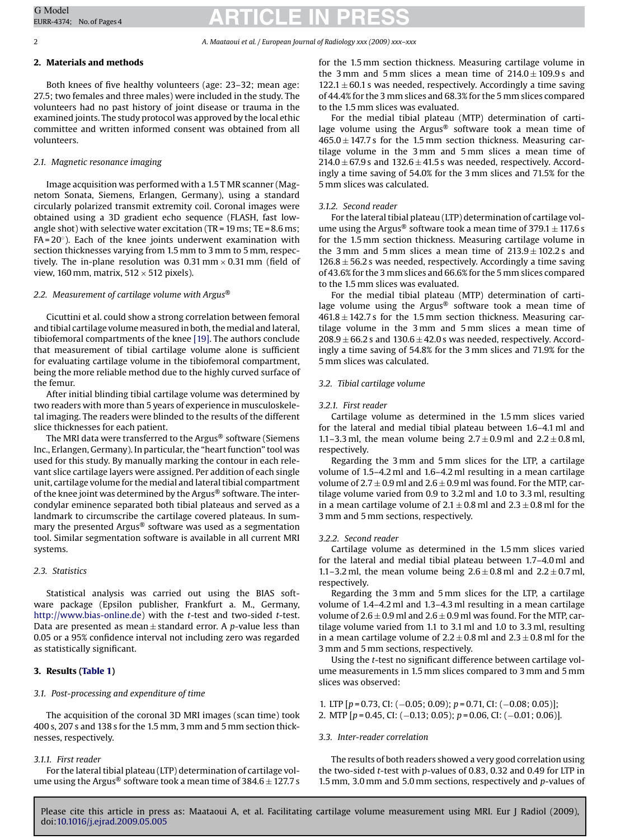# G Model G Model **ARTICLE IN PRESS**

#### 2 *A. Maataoui et al. / European Journal of Radiology xxx (2009) xxx–xxx*

## **2. Materials and methods**

Both knees of five healthy volunteers (age: 23–32; mean age: 27.5; two females and three males) were included in the study. The volunteers had no past history of joint disease or trauma in the examined joints. The study protocol was approved by the local ethic committee and written informed consent was obtained from all volunteers.

# *2.1. Magnetic resonance imaging*

Image acquisition was performed with a 1.5 T MR scanner (Magnetom Sonata, Siemens, Erlangen, Germany), using a standard circularly polarized transmit extremity coil. Coronal images were obtained using a 3D gradient echo sequence (FLASH, fast lowangle shot) with selective water excitation (TR =  $19 \text{ ms}$ ; TE =  $8.6 \text{ ms}$ ; FA =  $20^\circ$ ). Each of the knee joints underwent examination with section thicknesses varying from 1.5 mm to 3 mm to 5 mm, respectively. The in-plane resolution was 0.31 mm  $\times$  0.31 mm (field of view, 160 mm, matrix,  $512 \times 512$  pixels).

## *2.2. Measurement of cartilage volume with Argus*®

Cicuttini et al. could show a strong correlation between femoral and tibial cartilage volume measured in both, the medial and lateral, tibiofemoral compartments of the knee [\[19\]. T](#page-3-0)he authors conclude that measurement of tibial cartilage volume alone is sufficient for evaluating cartilage volume in the tibiofemoral compartment, being the more reliable method due to the highly curved surface of the femur.

After initial blinding tibial cartilage volume was determined by two readers with more than 5 years of experience in musculoskeletal imaging. The readers were blinded to the results of the different slice thicknesses for each patient.

The MRI data were transferred to the Argus® software (Siemens Inc., Erlangen, Germany). In particular, the "heart function" tool was used for this study. By manually marking the contour in each relevant slice cartilage layers were assigned. Per addition of each single unit, cartilage volume for the medial and lateral tibial compartment of the knee joint was determined by the Argus® software. The intercondylar eminence separated both tibial plateaus and served as a landmark to circumscribe the cartilage covered plateaus. In summary the presented Argus® software was used as a segmentation tool. Similar segmentation software is available in all current MRI systems.

# *2.3. Statistics*

Statistical analysis was carried out using the BIAS software package (Epsilon publisher, Frankfurt a. M., Germany, [http://www.bias-online.de\)](http://www.bias-online.de/) with the *t*-test and two-sided *t*-test. Data are presented as mean ± standard error. A *p*-value less than 0.05 or a 95% confidence interval not including zero was regarded as statistically significant.

# **3. Results ([Table 1\)](#page-2-0)**

#### *3.1. Post-processing and expenditure of time*

The acquisition of the coronal 3D MRI images (scan time) took 400 s, 207 s and 138 s for the 1.5 mm, 3 mm and 5 mm section thicknesses, respectively.

### *3.1.1. First reader*

For the lateral tibial plateau (LTP) determination of cartilage volume using the Argus<sup>®</sup> software took a mean time of  $384.6 \pm 127.7$  s for the 1.5 mm section thickness. Measuring cartilage volume in the 3 mm and 5 mm slices a mean time of  $214.0 \pm 109.9$  s and  $122.1 \pm 60.1$  s was needed, respectively. Accordingly a time saving of 44.4% for the 3 mm slices and 68.3% for the 5 mm slices compared to the 1.5 mm slices was evaluated.

For the medial tibial plateau (MTP) determination of cartilage volume using the Argus® software took a mean time of  $465.0 \pm 147.7$  s for the 1.5 mm section thickness. Measuring cartilage volume in the 3 mm and 5 mm slices a mean time of  $214.0 \pm 67.9$  s and  $132.6 \pm 41.5$  s was needed, respectively. Accordingly a time saving of 54.0% for the 3 mm slices and 71.5% for the 5 mm slices was calculated.

# *3.1.2. Second reader*

For the lateral tibial plateau (LTP) determination of cartilage volume using the Argus<sup>®</sup> software took a mean time of  $379.1 \pm 117.6$  s for the 1.5 mm section thickness. Measuring cartilage volume in the 3 mm and 5 mm slices a mean time of  $213.9 \pm 102.2$  s and  $126.8 \pm 56.2$  s was needed, respectively. Accordingly a time saving of 43.6% for the 3 mm slices and 66.6% for the 5 mm slices compared to the 1.5 mm slices was evaluated.

For the medial tibial plateau (MTP) determination of cartilage volume using the Argus® software took a mean time of  $461.8 \pm 142.7$  s for the 1.5 mm section thickness. Measuring cartilage volume in the 3 mm and 5 mm slices a mean time of  $208.9 \pm 66.2$  s and  $130.6 \pm 42.0$  s was needed, respectively. Accordingly a time saving of 54.8% for the 3 mm slices and 71.9% for the 5 mm slices was calculated.

# *3.2. Tibial cartilage volume*

#### *3.2.1. First reader*

Cartilage volume as determined in the 1.5 mm slices varied for the lateral and medial tibial plateau between 1.6–4.1 ml and 1.1–3.3 ml, the mean volume being  $2.7 \pm 0.9$  ml and  $2.2 \pm 0.8$  ml, respectively.

Regarding the 3 mm and 5 mm slices for the LTP, a cartilage volume of 1.5–4.2 ml and 1.6–4.2 ml resulting in a mean cartilage volume of  $2.7 \pm 0.9$  ml and  $2.6 \pm 0.9$  ml was found. For the MTP, cartilage volume varied from 0.9 to 3.2 ml and 1.0 to 3.3 ml, resulting in a mean cartilage volume of  $2.1 \pm 0.8$  ml and  $2.3 \pm 0.8$  ml for the 3 mm and 5 mm sections, respectively.

#### *3.2.2. Second reader*

Cartilage volume as determined in the 1.5 mm slices varied for the lateral and medial tibial plateau between 1.7–4.0 ml and 1.1–3.2 ml, the mean volume being  $2.6 \pm 0.8$  ml and  $2.2 \pm 0.7$  ml, respectively.

Regarding the 3 mm and 5 mm slices for the LTP, a cartilage volume of 1.4–4.2 ml and 1.3–4.3 ml resulting in a mean cartilage volume of  $2.6 \pm 0.9$  ml and  $2.6 \pm 0.9$  ml was found. For the MTP, cartilage volume varied from 1.1 to 3.1 ml and 1.0 to 3.3 ml, resulting in a mean cartilage volume of  $2.2 \pm 0.8$  ml and  $2.3 \pm 0.8$  ml for the 3 mm and 5 mm sections, respectively.

Using the *t*-test no significant difference between cartilage volume measurements in 1.5 mm slices compared to 3 mm and 5 mm slices was observed:

1. LTP [*p* = 0.73, CI: (−0.05; 0.09); *p* = 0.71, CI: (−0.08; 0.05)]; 2. MTP [*p* = 0.45, CI: (−0.13; 0.05); *p* = 0.06, CI: (−0.01; 0.06)].

#### *3.3. Inter-reader correlation*

The results of both readers showed a very good correlation using the two-sided *t*-test with *p*-values of 0.83, 0.32 and 0.49 for LTP in 1.5 mm, 3.0 mm and 5.0 mm sections, respectively and *p*-values of

Please cite this article in press as: Maataoui A, et al. Facilitating cartilage volume measurement using MRI. Eur J Radiol (2009), doi:[10.1016/j.ejrad.2009.05.005](dx.doi.org/10.1016/j.ejrad.2009.05.005)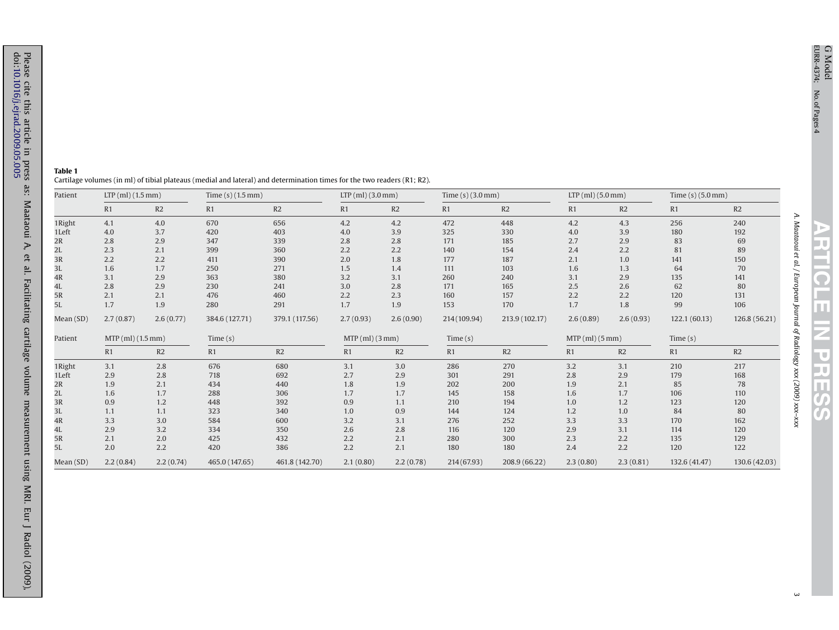*A. Maataoui et al. / European Journal of Radiology xxx (2009) xxx–xxx*

| Patient   | $LTP$ (ml) (1.5 mm) |           | Time $(s)$ (1.5 mm) |                | $LTP$ (ml) (3.0 mm) |           | Time $(s)$ (3.0 mm) |                | $LTP$ (ml) (5.0 mm) |           | Time $(s)$ (5.0 mm) |               |
|-----------|---------------------|-----------|---------------------|----------------|---------------------|-----------|---------------------|----------------|---------------------|-----------|---------------------|---------------|
|           | R1                  | R2        | R1                  | R2             | R1                  | R2        | R1                  | R2             | R1                  | R2        | R1                  | R2            |
| 1Right    | 4.1                 | 4.0       | 670                 | 656            | 4.2                 | 4.2       | 472                 | 448            | 4.2                 | 4.3       | 256                 | 240           |
| 1Left     | 4.0                 | 3.7       | 420                 | 403            | 4.0                 | 3.9       | 325                 | 330            | 4.0                 | 3.9       | 180                 | 192           |
| 2R        | 2.8                 | 2.9       | 347                 | 339            | 2.8                 | 2.8       | 171                 | 185            | 2.7                 | 2.9       | 83                  | 69            |
| 2L        | 2.3                 | 2.1       | 399                 | 360            | 2.2                 | 2.2       | 140                 | 154            | 2.4                 | 2.2       | 81                  | 89            |
| 3R        | 2.2                 | 2.2       | 411                 | 390            | 2.0                 | 1.8       | 177                 | 187            | 2.1                 | 1.0       | 141                 | 150           |
| 3L        | 1.6                 | 1.7       | 250                 | 271            | 1.5                 | 1.4       | 111                 | 103            | 1.6                 | 1.3       | 64                  | 70            |
| 4R        | 3.1                 | 2.9       | 363                 | 380            | 3.2                 | 3.1       | 260                 | 240            | 3.1                 | 2.9       | 135                 | 141           |
| 4L        | 2.8                 | 2.9       | 230                 | 241            | 3.0                 | 2.8       | 171                 | 165            | 2.5                 | 2.6       | 62                  | 80            |
| 5R        | 2.1                 | 2.1       | 476                 | 460            | 2.2                 | 2.3       | 160                 | 157            | 2.2                 | 2.2       | 120                 | 131           |
| 5L        | 1.7                 | 1.9       | 280                 | 291            | 1.7                 | 1.9       | 153                 | 170            | 1.7                 | 1.8       | 99                  | 106           |
| Mean (SD) | 2.7(0.87)           | 2.6(0.77) | 384.6 (127.71)      | 379.1 (117.56) | 2.7(0.93)           | 2.6(0.90) | 214 (109.94)        | 213.9 (102.17) | 2.6(0.89)           | 2.6(0.93) | 122.1(60.13)        | 126.8 (56.21) |
| Patient   | $MTP$ (ml) (1.5 mm) |           | Time(s)             |                | $MTP$ (ml) (3 mm)   |           | Time(s)             |                | $MTP$ (ml) (5 mm)   |           | Time(s)             |               |
|           | R1                  | R2        | R1                  | R2             | R1                  | R2        | R1                  | R2             | R1                  | R2        | R1                  | R2            |
| 1Right    | 3.1                 | 2.8       | 676                 | 680            | 3.1                 | 3.0       | 286                 | 270            | 3.2                 | 3.1       | 210                 | 217           |
| 1 Left    | 2.9                 | 2.8       | 718                 | 692            | 2.7                 | 2.9       | 301                 | 291            | 2.8                 | 2.9       | 179                 | 168           |
| 2R        | 1.9                 | 2.1       | 434                 | 440            | 1.8                 | 1.9       | 202                 | 200            | 1.9                 | 2.1       | 85                  | 78            |
| 2L        | 1.6                 | 1.7       | 288                 | 306            | 1.7                 | 1.7       | 145                 | 158            | 1.6                 | 1.7       | 106                 | 110           |
| 3R        | 0.9                 | 1.2       | 448                 | 392            | 0.9                 | 1.1       | 210                 | 194            | 1.0                 | 1.2       | 123                 | 120           |
| 3L        | 1.1                 | 1.1       | 323                 | 340            | 1.0                 | 0.9       | 144                 | 124            | 1.2                 | 1.0       | 84                  | 80            |
| 4R        | 3.3                 | 3.0       | 584                 | 600            | 3.2                 | 3.1       | 276                 | 252            | 3.3                 | 3.3       | 170                 | 162           |
| 4L        | 2.9                 | 3.2       | 334                 | 350            | 2.6                 | 2.8       | 116                 | 120            | 2.9                 | 3.1       | 114                 | 120           |
| 5R        | 2.1                 | 2.0       | 425                 | 432            | 2.2                 | 2.1       | 280                 | 300            | 2.3                 | 2.2       | 135                 | 129           |
| 5L        | 2.0                 | 2.2       | 420                 | 386            | 2.2                 | 2.1       | 180                 | 180            | 2.4                 | 2.2       | 120                 | 122           |
| Mean (SD) | 2.2(0.84)           | 2.2(0.74) | 465.0 (147.65)      | 461.8 (142.70) | 2.1(0.80)           | 2.2(0.78) | 214(67.93)          | 208.9 (66.22)  | 2.3(0.80)           | 2.3(0.81) | 132.6 (41.47)       | 130.6 (42.03) |

<span id="page-2-0"></span>**Table 1**Cartilage volumes (in ml) of tibial plateaus (medial and lateral) and determination times for the two readers (R1; R2).